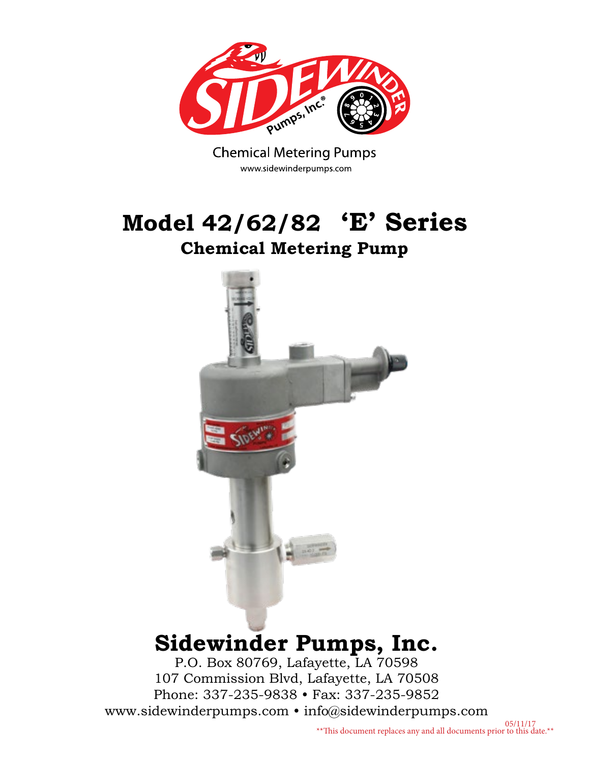

**Chemical Metering Pumps** www.sidewinderpumps.com

### **Model 42/62/82 'E' Series Chemical Metering Pump**



## **Sidewinder Pumps, Inc.**

P.O. Box 80769, Lafayette, LA 70598 107 Commission Blvd, Lafayette, LA 70508 Phone: 337-235-9838 • Fax: 337-235-9852 www.sidewinderpumps.com • info@sidewinderpumps.com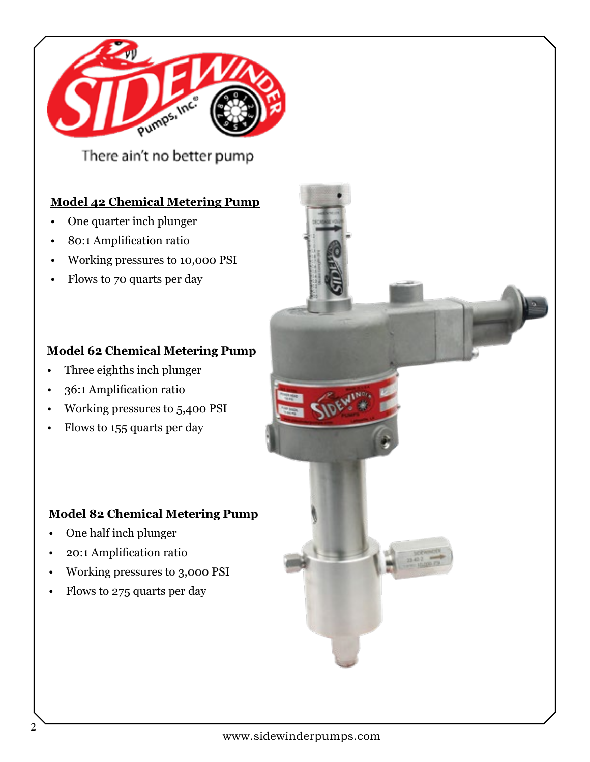

There ain't no better pump

#### **Model 42 Chemical Metering Pump**

- One quarter inch plunger
- 80:1 Amplification ratio
- Working pressures to 10,000 PSI
- Flows to 70 quarts per day

#### **Model 62 Chemical Metering Pump**

- Three eighths inch plunger
- 36:1 Amplification ratio
- Working pressures to 5,400 PSI
- Flows to 155 quarts per day

#### **Model 82 Chemical Metering Pump**

- One half inch plunger
- 20:1 Amplification ratio
- Working pressures to 3,000 PSI
- Flows to 275 quarts per day

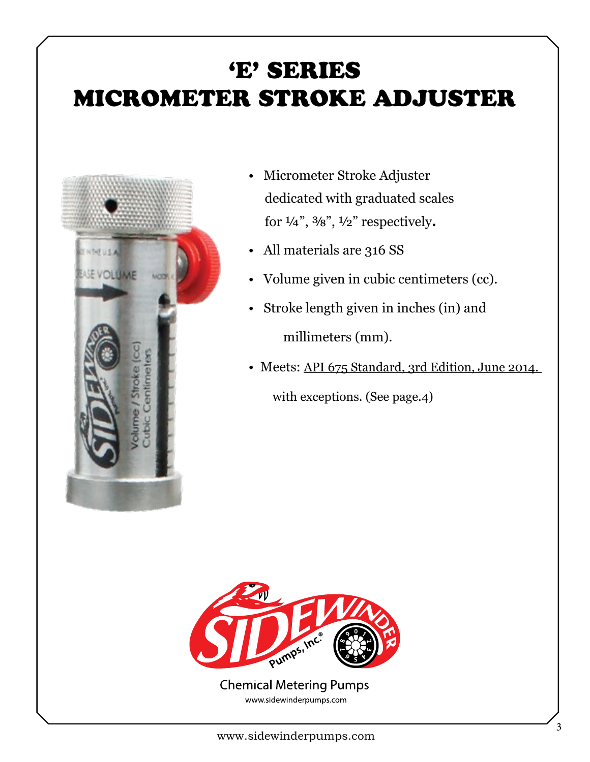## 'E' SERIES MICROMETER STROKE ADJUSTER



- Micrometer Stroke Adjuster dedicated with graduated scales for ¼", ⅜", ½" respectively**.**
- All materials are 316 SS
- Volume given in cubic centimeters (cc).
- Stroke length given in inches (in) and millimeters (mm).
- Meets: API 675 Standard, 3rd Edition, June 2014.

with exceptions. (See page.4)



**Chemical Metering Pumps** www.sidewinderpumps.com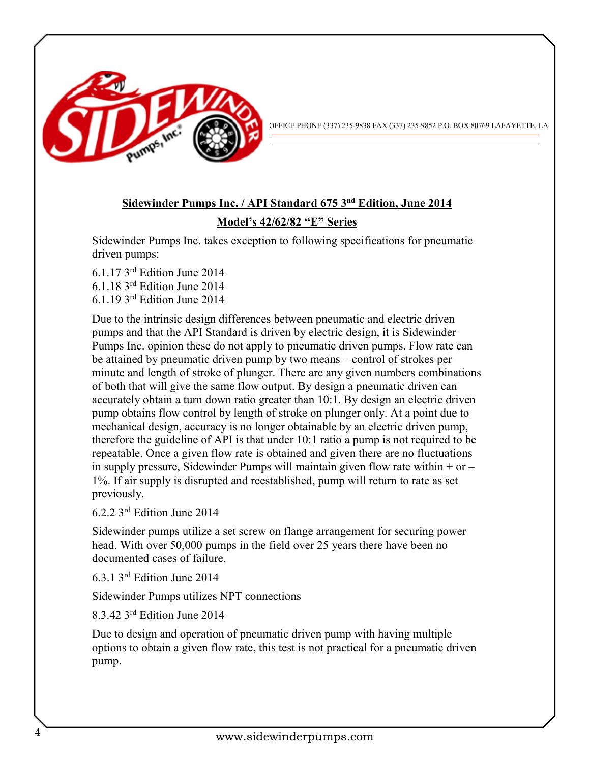

OFFICE PHONE (337) 235-9838 FAX (337) 235-9852 P.O. BOX 80769 LAFAYETTE, LA

### **Sidewinder Pumps Inc. / API Standard 675 3nd Edition, June 2014**

#### **Model's 42/62/82 "E" Series**

Sidewinder Pumps Inc. takes exception to following specifications for pneumatic driven pumps:

6.1.17 3rd Edition June 2014 6.1.18 3rd Edition June 2014 6.1.19 3rd Edition June 2014

Due to the intrinsic design differences between pneumatic and electric driven pumps and that the API Standard is driven by electric design, it is Sidewinder Pumps Inc. opinion these do not apply to pneumatic driven pumps. Flow rate can be attained by pneumatic driven pump by two means – control of strokes per minute and length of stroke of plunger. There are any given numbers combinations of both that will give the same flow output. By design a pneumatic driven can accurately obtain a turn down ratio greater than 10:1. By design an electric driven pump obtains flow control by length of stroke on plunger only. At a point due to mechanical design, accuracy is no longer obtainable by an electric driven pump, therefore the guideline of API is that under 10:1 ratio a pump is not required to be repeatable. Once a given flow rate is obtained and given there are no fluctuations in supply pressure, Sidewinder Pumps will maintain given flow rate within  $+$  or  $-$ 1%. If air supply is disrupted and reestablished, pump will return to rate as set previously.

6.2.2 3rd Edition June 2014

Sidewinder pumps utilize a set screw on flange arrangement for securing power head. With over 50,000 pumps in the field over 25 years there have been no documented cases of failure.

6.3.1 3rd Edition June 2014

Sidewinder Pumps utilizes NPT connections

8.3.42 3rd Edition June 2014

Due to design and operation of pneumatic driven pump with having multiple options to obtain a given flow rate, this test is not practical for a pneumatic driven pump.